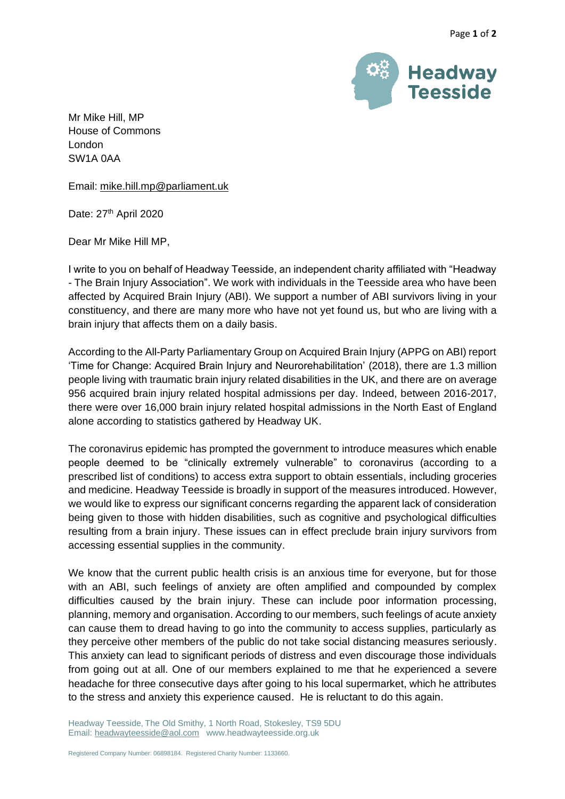

Mr Mike Hill, MP House of Commons London SW1A 0AA

Email: [mike.hill.mp@parliament.uk](mailto:mike.hill.mp@parliament.uk)

Date: 27<sup>th</sup> April 2020

Dear Mr Mike Hill MP,

I write to you on behalf of Headway Teesside, an independent charity affiliated with "Headway - The Brain Injury Association". We work with individuals in the Teesside area who have been affected by Acquired Brain Injury (ABI). We support a number of ABI survivors living in your constituency, and there are many more who have not yet found us, but who are living with a brain injury that affects them on a daily basis.

According to the All-Party Parliamentary Group on Acquired Brain Injury (APPG on ABI) report 'Time for Change: Acquired Brain Injury and Neurorehabilitation' (2018), there are 1.3 million people living with traumatic brain injury related disabilities in the UK, and there are on average 956 acquired brain injury related hospital admissions per day. Indeed, between 2016-2017, there were over 16,000 brain injury related hospital admissions in the North East of England alone according to statistics gathered by Headway UK.

The coronavirus epidemic has prompted the government to introduce measures which enable people deemed to be "clinically extremely vulnerable" to coronavirus (according to a prescribed list of conditions) to access extra support to obtain essentials, including groceries and medicine. Headway Teesside is broadly in support of the measures introduced. However, we would like to express our significant concerns regarding the apparent lack of consideration being given to those with hidden disabilities, such as cognitive and psychological difficulties resulting from a brain injury. These issues can in effect preclude brain injury survivors from accessing essential supplies in the community.

We know that the current public health crisis is an anxious time for everyone, but for those with an ABI, such feelings of anxiety are often amplified and compounded by complex difficulties caused by the brain injury. These can include poor information processing, planning, memory and organisation. According to our members, such feelings of acute anxiety can cause them to dread having to go into the community to access supplies, particularly as they perceive other members of the public do not take social distancing measures seriously. This anxiety can lead to significant periods of distress and even discourage those individuals from going out at all. One of our members explained to me that he experienced a severe headache for three consecutive days after going to his local supermarket, which he attributes to the stress and anxiety this experience caused. He is reluctant to do this again.

Headway Teesside, The Old Smithy, 1 North Road, Stokesley, TS9 5DU Email[: headwayteesside@aol.com](mailto:headwayteesside@aol.com) www.headwayteesside.org.uk